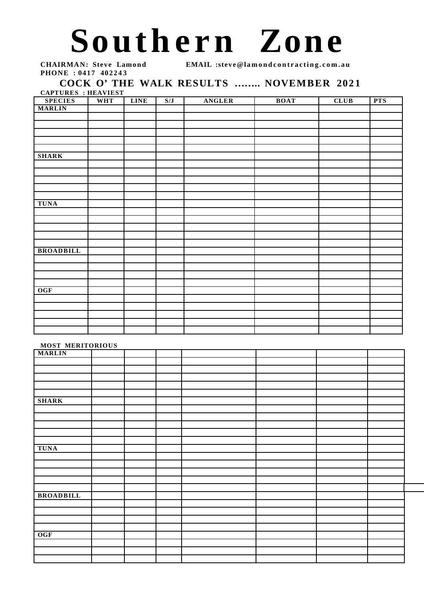## Southern Zone

**PHONE : 0417 402243** 

**CHAIRMAN: Steve Lamond EMAIL :steve@lamondcontracting.com.au** 

## COCK O' THE WALK RESULTS ........ NOVEMBER 2021

**CAPTURES : HEAVIEST**

| <b>SPECIES</b>   | <b>WHT</b> | <b>LINE</b> | S/J | ANGLER | <b>BOAT</b> | CLUB | <b>PTS</b> |
|------------------|------------|-------------|-----|--------|-------------|------|------------|
| <b>MARLIN</b>    |            |             |     |        |             |      |            |
|                  |            |             |     |        |             |      |            |
|                  |            |             |     |        |             |      |            |
|                  |            |             |     |        |             |      |            |
|                  |            |             |     |        |             |      |            |
|                  |            |             |     |        |             |      |            |
| <b>SHARK</b>     |            |             |     |        |             |      |            |
|                  |            |             |     |        |             |      |            |
|                  |            |             |     |        |             |      |            |
|                  |            |             |     |        |             |      |            |
|                  |            |             |     |        |             |      |            |
|                  |            |             |     |        |             |      |            |
| <b>TUNA</b>      |            |             |     |        |             |      |            |
|                  |            |             |     |        |             |      |            |
|                  |            |             |     |        |             |      |            |
|                  |            |             |     |        |             |      |            |
|                  |            |             |     |        |             |      |            |
|                  |            |             |     |        |             |      |            |
| <b>BROADBILL</b> |            |             |     |        |             |      |            |
|                  |            |             |     |        |             |      |            |
|                  |            |             |     |        |             |      |            |
|                  |            |             |     |        |             |      |            |
|                  |            |             |     |        |             |      |            |
| $\overline{OGF}$ |            |             |     |        |             |      |            |
|                  |            |             |     |        |             |      |            |
|                  |            |             |     |        |             |      |            |
|                  |            |             |     |        |             |      |            |
|                  |            |             |     |        |             |      |            |
|                  |            |             |     |        |             |      |            |

## **MOST MERITORIOUS**

| <b>MODI MENIIONIO</b> |  |  |  |  |
|-----------------------|--|--|--|--|
| <b>MARLIN</b>         |  |  |  |  |
|                       |  |  |  |  |
|                       |  |  |  |  |
|                       |  |  |  |  |
|                       |  |  |  |  |
|                       |  |  |  |  |
| <b>SHARK</b>          |  |  |  |  |
|                       |  |  |  |  |
|                       |  |  |  |  |
|                       |  |  |  |  |
|                       |  |  |  |  |
|                       |  |  |  |  |
|                       |  |  |  |  |
| <b>TUNA</b>           |  |  |  |  |
|                       |  |  |  |  |
|                       |  |  |  |  |
|                       |  |  |  |  |
|                       |  |  |  |  |
|                       |  |  |  |  |
| <b>BROADBILL</b>      |  |  |  |  |
|                       |  |  |  |  |
|                       |  |  |  |  |
|                       |  |  |  |  |
|                       |  |  |  |  |
| OGF                   |  |  |  |  |
|                       |  |  |  |  |
|                       |  |  |  |  |
|                       |  |  |  |  |
|                       |  |  |  |  |